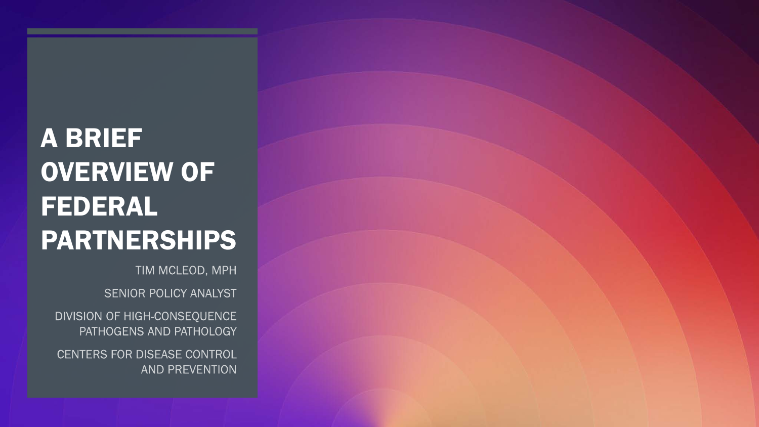# A BRIEF OVERVIEW OF FEDERAL PARTNERSHIPS

TIM MCLEOD, MPH

SENIOR POLICY ANALYST

DIVISION OF HIGH-CONSEQUENCE PATHOGENS AND PATHOLOGY

CENTERS FOR DISEASE CONTROL AND PREVENTION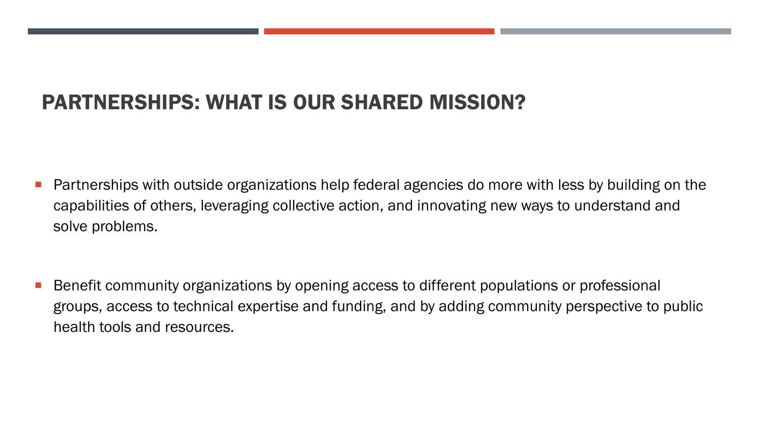### PARTNERSHIPS: WHAT IS OUR SHARED MISSION?

- **Partnerships with outside organizations help federal agencies do more with less by building on the** capabilities of others, leveraging collective action, and innovating new ways to understand and solve problems.
- **Benefit community organizations by opening access to different populations or professional** groups, access to technical expertise and funding, and by adding community perspective to public health tools and resources.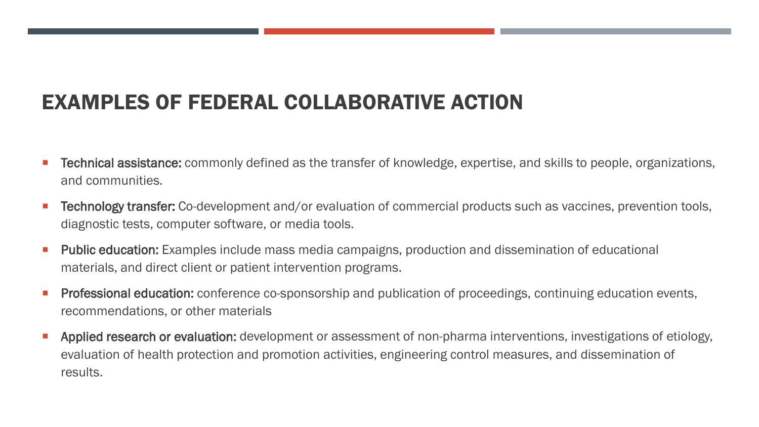# EXAMPLES OF FEDERAL COLLABORATIVE ACTION

- Technical assistance: commonly defined as the transfer of knowledge, expertise, and skills to people, organizations, and communities.
- Technology transfer: Co-development and/or evaluation of commercial products such as vaccines, prevention tools, diagnostic tests, computer software, or media tools.
- Public education: Examples include mass media campaigns, production and dissemination of educational materials, and direct client or patient intervention programs.
- Professional education: conference co-sponsorship and publication of proceedings, continuing education events, recommendations, or other materials
- Applied research or evaluation: development or assessment of non-pharma interventions, investigations of etiology, evaluation of health protection and promotion activities, engineering control measures, and dissemination of results.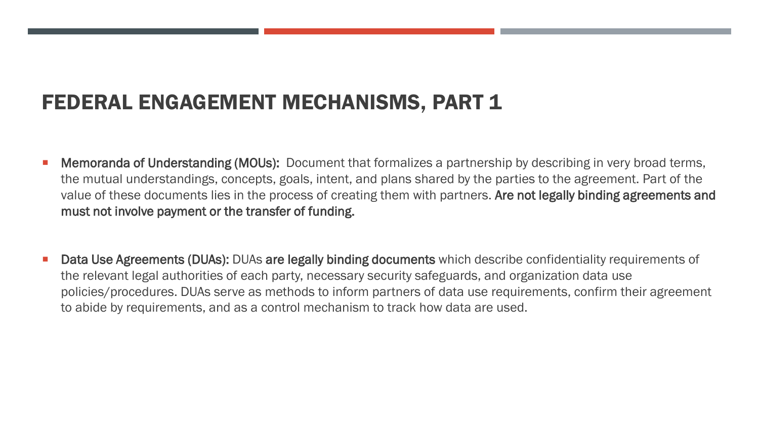### FEDERAL ENGAGEMENT MECHANISMS, PART 1

- **Memoranda of Understanding (MOUs):** Document that formalizes a partnership by describing in very broad terms, the mutual understandings, concepts, goals, intent, and plans shared by the parties to the agreement. Part of the value of these documents lies in the process of creating them with partners. Are not legally binding agreements and must not involve payment or the transfer of funding.
- Data Use Agreements (DUAs): DUAs are legally binding documents which describe confidentiality requirements of the relevant legal authorities of each party, necessary security safeguards, and organization data use policies/procedures. DUAs serve as methods to inform partners of data use requirements, confirm their agreement to abide by requirements, and as a control mechanism to track how data are used.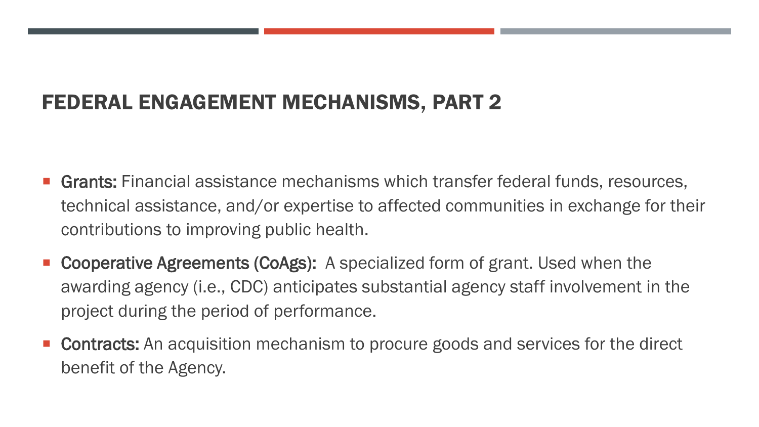# FEDERAL ENGAGEMENT MECHANISMS, PART 2

- Grants: Financial assistance mechanisms which transfer federal funds, resources, technical assistance, and/or expertise to affected communities in exchange for their contributions to improving public health.
- Cooperative Agreements (CoAgs): A specialized form of grant. Used when the awarding agency (i.e., CDC) anticipates substantial agency staff involvement in the project during the period of performance.
- Contracts: An acquisition mechanism to procure goods and services for the direct benefit of the Agency.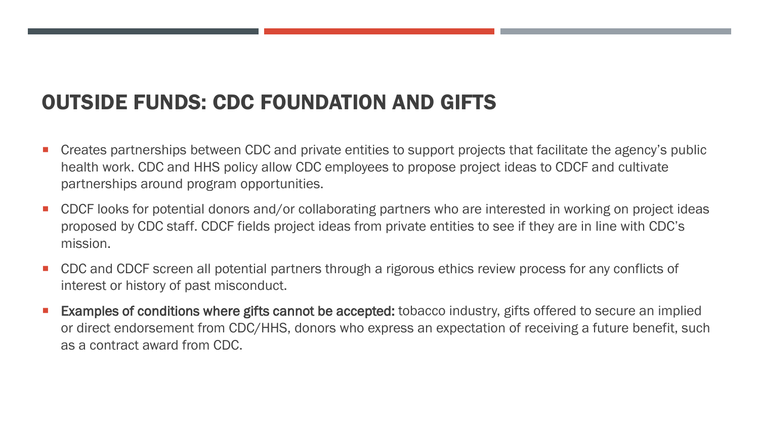### OUTSIDE FUNDS: CDC FOUNDATION AND GIFTS

- Creates partnerships between CDC and private entities to support projects that facilitate the agency's public health work. CDC and HHS policy allow CDC employees to propose project ideas to CDCF and cultivate partnerships around program opportunities.
- CDCF looks for potential donors and/or collaborating partners who are interested in working on project ideas proposed by CDC staff. CDCF fields project ideas from private entities to see if they are in line with CDC's mission.
- CDC and CDCF screen all potential partners through a rigorous ethics review process for any conflicts of interest or history of past misconduct.
- Examples of conditions where gifts cannot be accepted: tobacco industry, gifts offered to secure an implied or direct endorsement from CDC/HHS, donors who express an expectation of receiving a future benefit, such as a contract award from CDC.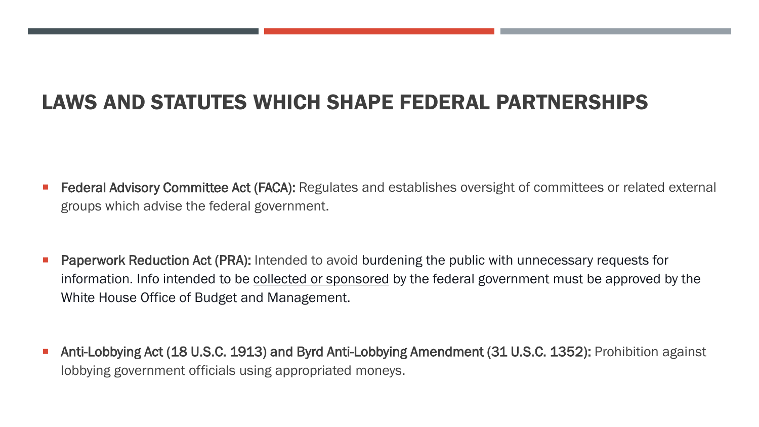# LAWS AND STATUTES WHICH SHAPE FEDERAL PARTNERSHIPS

- Federal Advisory Committee Act (FACA): Regulates and establishes oversight of committees or related external groups which advise the federal government.
- Paperwork Reduction Act (PRA): Intended to avoid burdening the public with unnecessary requests for information. Info intended to be collected or sponsored by the federal government must be approved by the White House Office of Budget and Management.
- Anti-Lobbying Act (18 U.S.C. 1913) and Byrd Anti-Lobbying Amendment (31 U.S.C. 1352): Prohibition against lobbying government officials using appropriated moneys.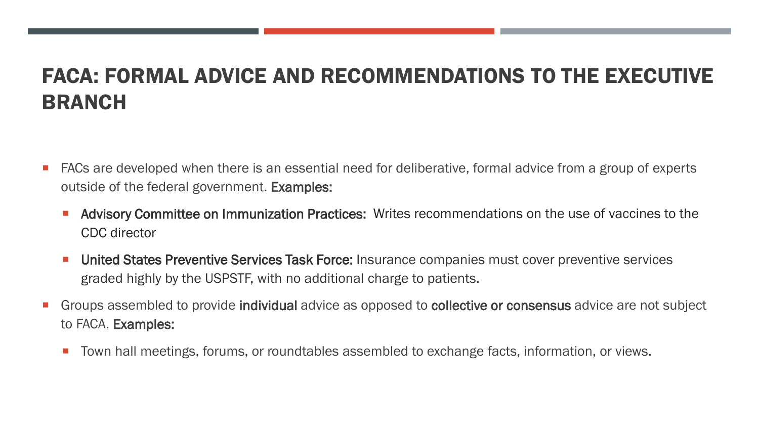# FACA: FORMAL ADVICE AND RECOMMENDATIONS TO THE EXECUTIVE BRANCH

- FACs are developed when there is an essential need for deliberative, formal advice from a group of experts outside of the federal government. Examples:
	- **Advisory Committee on Immunization Practices:** Writes recommendations on the use of vaccines to the CDC director
	- **United States Preventive Services Task Force:** Insurance companies must cover preventive services graded highly by the USPSTF, with no additional charge to patients.
- Groups assembled to provide individual advice as opposed to collective or consensus advice are not subject to FACA. Examples:
	- **T** Town hall meetings, forums, or roundtables assembled to exchange facts, information, or views.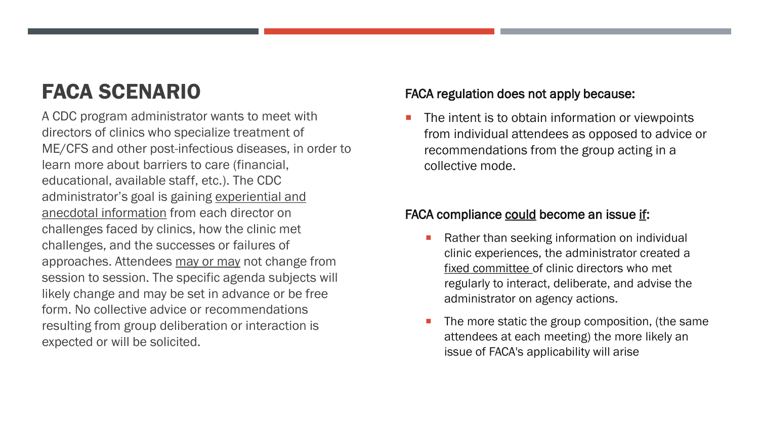# FACA SCENARIO

A CDC program administrator wants to meet with directors of clinics who specialize treatment of ME/CFS and other post-infectious diseases, in order to learn more about barriers to care (financial, educational, available staff, etc.). The CDC administrator's goal is gaining experiential and anecdotal information from each director on challenges faced by clinics, how the clinic met challenges, and the successes or failures of approaches. Attendees may or may not change from session to session. The specific agenda subjects will likely change and may be set in advance or be free form. No collective advice or recommendations resulting from group deliberation or interaction is expected or will be solicited.

#### FACA regulation does not apply because:

 The intent is to obtain information or viewpoints from individual attendees as opposed to advice or recommendations from the group acting in a collective mode.

#### FACA compliance could become an issue if:

- Rather than seeking information on individual clinic experiences, the administrator created a fixed committee of clinic directors who met regularly to interact, deliberate, and advise the administrator on agency actions.
- The more static the group composition, (the same attendees at each meeting) the more likely an issue of FACA's applicability will arise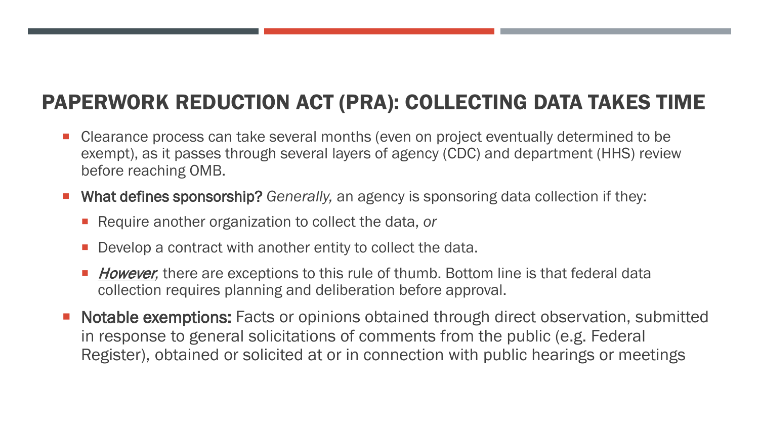# PAPERWORK REDUCTION ACT (PRA): COLLECTING DATA TAKES TIME

- Clearance process can take several months (even on project eventually determined to be exempt), as it passes through several layers of agency (CDC) and department (HHS) review before reaching OMB.
- What defines sponsorship? *Generally,* an agency is sponsoring data collection if they:
	- Require another organization to collect the data, or
	- Develop a contract with another entity to collect the data.
	- **However**, there are exceptions to this rule of thumb. Bottom line is that federal data collection requires planning and deliberation before approval.
- Notable exemptions: Facts or opinions obtained through direct observation, submitted in response to general solicitations of comments from the public (e.g. Federal Register), obtained or solicited at or in connection with public hearings or meetings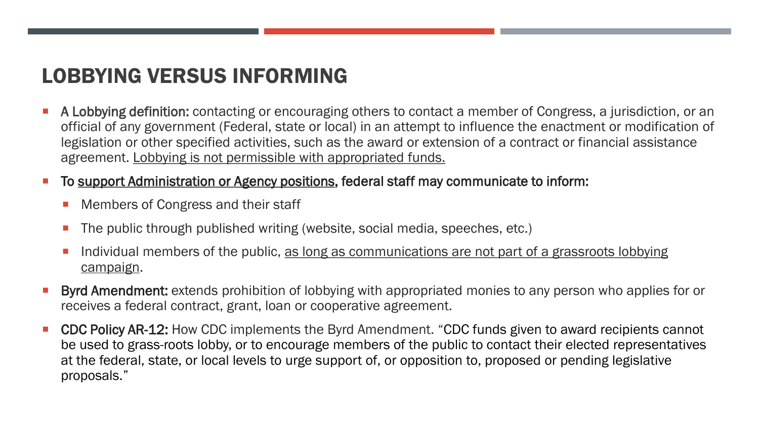### LOBBYING VERSUS INFORMING

**A Lobbying definition:** contacting or encouraging others to contact a member of Congress, a jurisdiction, or an official of any government (Federal, state or local) in an attempt to influence the enactment or modification of legislation or other specified activities, such as the award or extension of a contract or financial assistance agreement. Lobbying is not permissible with appropriated funds.

#### To support Administration or Agency positions, federal staff may communicate to inform:

- Members of Congress and their staff
- The public through published writing (website, social media, speeches, etc.)
- Individual members of the public, as long as communications are not part of a grassroots lobbying campaign.
- Byrd Amendment: extends prohibition of lobbying with appropriated monies to any person who applies for or receives a federal contract, grant, loan or cooperative agreement.
- CDC Policy AR-12: How CDC implements the Byrd Amendment. "CDC funds given to award recipients cannot be used to grass-roots lobby, or to encourage members of the public to contact their elected representatives at the federal, state, or local levels to urge support of, or opposition to, proposed or pending legislative proposals."